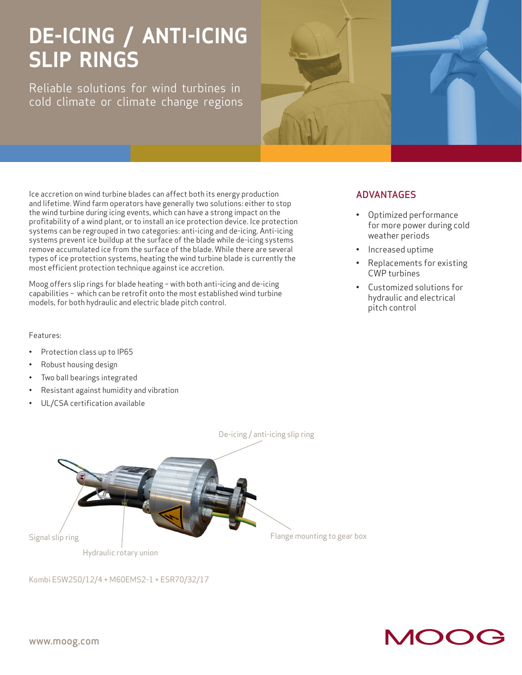# **DE-ICING / ANTI-ICING SLIP RINGS**

Reliable solutions for wind turbines in cold climate or climate change regions



Ice accretion on wind turbine blades can affect both its energy production and lifetime. Wind farm operators have generally two solutions: either to stop the wind turbine during icing events, which can have a strong impact on the profitability of a wind plant, or to install an ice protection device. Ice protection systems can be regrouped in two categories: anti-icing and de-icing. Anti-icing systems prevent ice buildup at the surface of the blade while de-icing systems remove accumulated ice from the surface of the blade. While there are several types of ice protection systems, heating the wind turbine blade is currently the most efficient protection technique against ice accretion.

Moog offers slip rings for blade heating – with both anti-icing and de-icing capabilities – which can be retrofit onto the most established wind turbine models, for both hydraulic and electric blade pitch control.

#### Features:

- Protection class up to IP65
- Robust housing design
- Two ball bearings integrated
- Resistant against humidity and vibration
- UL/CSA certification available

### ADVANTAGES

- Optimized performance for more power during cold weather periods
- Increased uptime
- Replacements for existing CWP turbines
- Customized solutions for hydraulic and electrical pitch control



Kombi ESW250/12/4 + M60EMS2-1 + ESR70/32/17